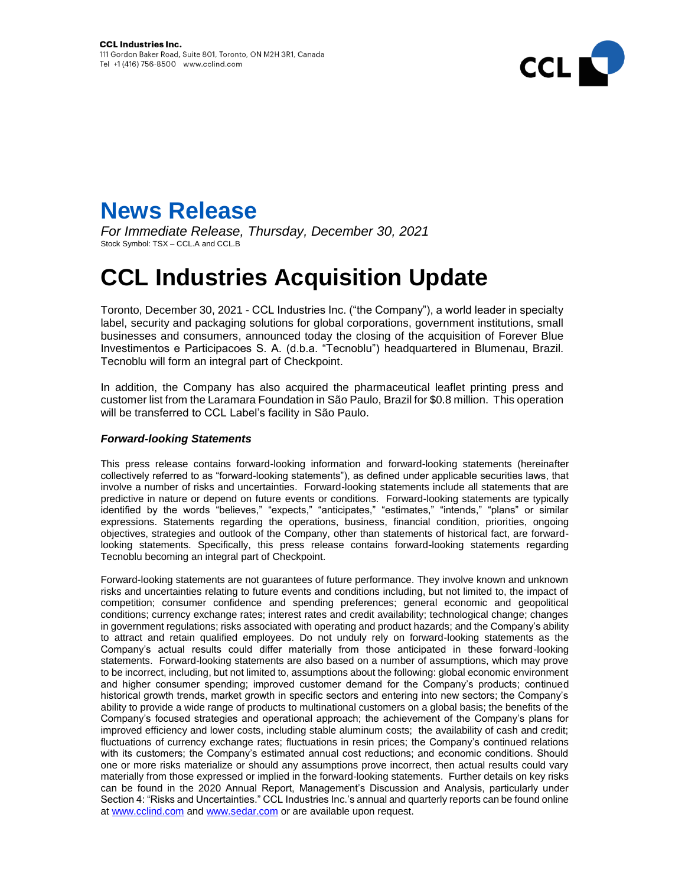



*For Immediate Release, Thursday, December 30, 2021* Stock Symbol: TSX – CCL.A and CCL.B

## **CCL Industries Acquisition Update**

Toronto, December 30, 2021 - CCL Industries Inc. ("the Company"), a world leader in specialty label, security and packaging solutions for global corporations, government institutions, small businesses and consumers, announced today the closing of the acquisition of Forever Blue Investimentos e Participacoes S. A. (d.b.a. "Tecnoblu") headquartered in Blumenau, Brazil. Tecnoblu will form an integral part of Checkpoint.

In addition, the Company has also acquired the pharmaceutical leaflet printing press and customer list from the Laramara Foundation in São Paulo, Brazil for \$0.8 million. This operation will be transferred to CCL Label's facility in São Paulo.

## *Forward-looking Statements*

This press release contains forward-looking information and forward-looking statements (hereinafter collectively referred to as "forward-looking statements"), as defined under applicable securities laws, that involve a number of risks and uncertainties. Forward-looking statements include all statements that are predictive in nature or depend on future events or conditions. Forward-looking statements are typically identified by the words "believes," "expects," "anticipates," "estimates," "intends," "plans" or similar expressions. Statements regarding the operations, business, financial condition, priorities, ongoing objectives, strategies and outlook of the Company, other than statements of historical fact, are forwardlooking statements. Specifically, this press release contains forward-looking statements regarding Tecnoblu becoming an integral part of Checkpoint.

Forward-looking statements are not guarantees of future performance. They involve known and unknown risks and uncertainties relating to future events and conditions including, but not limited to, the impact of competition; consumer confidence and spending preferences; general economic and geopolitical conditions; currency exchange rates; interest rates and credit availability; technological change; changes in government regulations; risks associated with operating and product hazards; and the Company's ability to attract and retain qualified employees. Do not unduly rely on forward-looking statements as the Company's actual results could differ materially from those anticipated in these forward-looking statements. Forward-looking statements are also based on a number of assumptions, which may prove to be incorrect, including, but not limited to, assumptions about the following: global economic environment and higher consumer spending; improved customer demand for the Company's products; continued historical growth trends, market growth in specific sectors and entering into new sectors; the Company's ability to provide a wide range of products to multinational customers on a global basis; the benefits of the Company's focused strategies and operational approach; the achievement of the Company's plans for improved efficiency and lower costs, including stable aluminum costs; the availability of cash and credit; fluctuations of currency exchange rates; fluctuations in resin prices; the Company's continued relations with its customers; the Company's estimated annual cost reductions; and economic conditions. Should one or more risks materialize or should any assumptions prove incorrect, then actual results could vary materially from those expressed or implied in the forward-looking statements. Further details on key risks can be found in the 2020 Annual Report, Management's Discussion and Analysis, particularly under Section 4: "Risks and Uncertainties." CCL Industries Inc.'s annual and quarterly reports can be found online at [www.cclind.com](http://www.cclind.com/) an[d www.sedar.com](http://www.sedar.com/) or are available upon request.